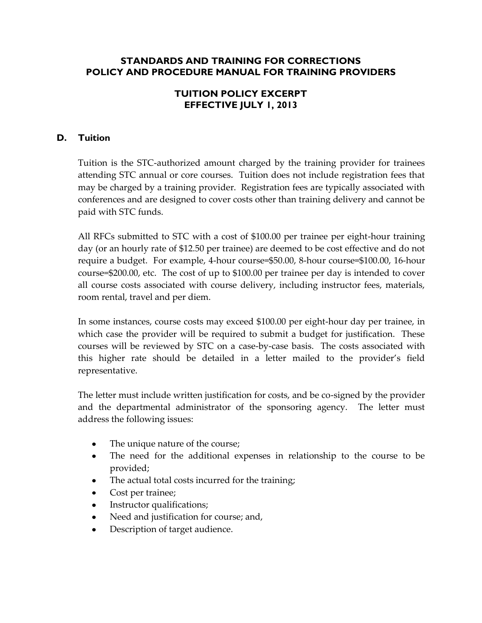## **STANDARDS AND TRAINING FOR CORRECTIONS POLICY AND PROCEDURE MANUAL FOR TRAINING PROVIDERS**

## **TUITION POLICY EXCERPT EFFECTIVE JULY 1, 2013**

## **D. Tuition**

Tuition is the STC-authorized amount charged by the training provider for trainees attending STC annual or core courses. Tuition does not include registration fees that may be charged by a training provider. Registration fees are typically associated with conferences and are designed to cover costs other than training delivery and cannot be paid with STC funds.

All RFCs submitted to STC with a cost of \$100.00 per trainee per eight-hour training day (or an hourly rate of \$12.50 per trainee) are deemed to be cost effective and do not require a budget. For example, 4-hour course=\$50.00, 8-hour course=\$100.00, 16-hour course=\$200.00, etc. The cost of up to \$100.00 per trainee per day is intended to cover all course costs associated with course delivery, including instructor fees, materials, room rental, travel and per diem.

In some instances, course costs may exceed \$100.00 per eight-hour day per trainee, in which case the provider will be required to submit a budget for justification. These courses will be reviewed by STC on a case-by-case basis. The costs associated with this higher rate should be detailed in a letter mailed to the provider's field representative.

The letter must include written justification for costs, and be co-signed by the provider and the departmental administrator of the sponsoring agency. The letter must address the following issues:

- $\bullet$ The unique nature of the course;
- The need for the additional expenses in relationship to the course to be  $\bullet$ provided;
- The actual total costs incurred for the training;
- Cost per trainee;
- Instructor qualifications;
- Need and justification for course; and,
- Description of target audience.